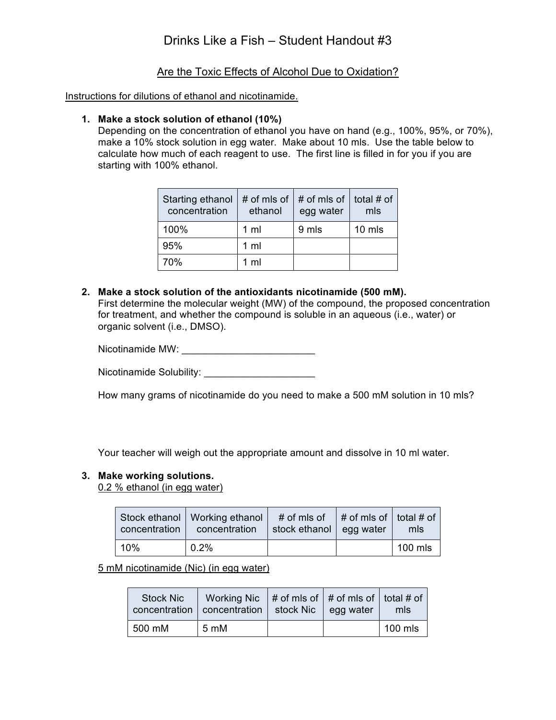## Are the Toxic Effects of Alcohol Due to Oxidation?

Instructions for dilutions of ethanol and nicotinamide.

## **1. Make a stock solution of ethanol (10%)**

Depending on the concentration of ethanol you have on hand (e.g., 100%, 95%, or 70%), make a 10% stock solution in egg water. Make about 10 mls. Use the table below to calculate how much of each reagent to use. The first line is filled in for you if you are starting with 100% ethanol.

| Starting ethanol<br>concentration | # of mls of<br>ethanol | # of mls of $ $<br>egg water | total # of<br>mls |
|-----------------------------------|------------------------|------------------------------|-------------------|
| 100%                              | $1 \text{ ml}$         | 9 mls                        | 10 mls            |
| 95%                               | $1$ ml                 |                              |                   |
| 70%                               | 1 <sub>m</sub>         |                              |                   |

**2. Make a stock solution of the antioxidants nicotinamide (500 mM).** First determine the molecular weight (MW) of the compound, the proposed concentration for treatment, and whether the compound is soluble in an aqueous (i.e., water) or organic solvent (i.e., DMSO).

Nicotinamide MW:

Nicotinamide Solubility: \_\_\_\_\_\_\_\_\_\_\_\_\_\_\_\_\_\_\_\_

How many grams of nicotinamide do you need to make a 500 mM solution in 10 mls?

Your teacher will weigh out the appropriate amount and dissolve in 10 ml water.

### **3. Make working solutions.**

0.2 % ethanol (in egg water)

| concentration | Stock ethanol   Working ethanol<br>concentration | # of mls of $ $ # of mls of $ $ total # of<br>stock ethanol   egg water | mls     |
|---------------|--------------------------------------------------|-------------------------------------------------------------------------|---------|
| 10%           | 0.2%                                             |                                                                         | 100 mls |

5 mM nicotinamide (Nic) (in egg water)

| <b>Stock Nic</b> | Working Nic $#$ of mls of $#$ of mls of $ $ total # of<br>concentration   concentration | stock Nic egg water | mls     |
|------------------|-----------------------------------------------------------------------------------------|---------------------|---------|
| 500 mM           | 5 mM                                                                                    |                     | 100 mls |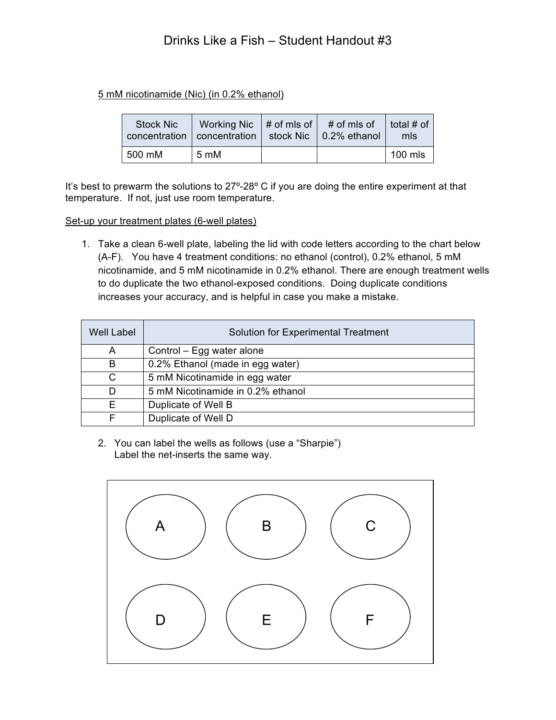# Drinks Like a Fish – Student Handout #3

## 5 mM nicotinamide (Nic) (in 0.2% ethanol)

| <b>Stock Nic</b> | Working Nic $#$ of mls of $#$ of mls of<br>concentration   concentration   stock Nic   0.2% ethanol |  | total # of<br>mls |
|------------------|-----------------------------------------------------------------------------------------------------|--|-------------------|
| 500 mM           | 5 mM                                                                                                |  | $100$ mls         |

It's best to prewarm the solutions to 27°-28° C if you are doing the entire experiment at that temperature. If not, just use room temperature.

### Set-up your treatment plates (6-well plates)

1. Take a clean 6-well plate, labeling the lid with code letters according to the chart below (A-F). You have 4 treatment conditions: no ethanol (control), 0.2% ethanol, 5 mM nicotinamide, and 5 mM nicotinamide in 0.2% ethanol. There are enough treatment wells to do duplicate the two ethanol-exposed conditions. Doing duplicate conditions increases your accuracy, and is helpful in case you make a mistake.

| <b>Well Label</b> | <b>Solution for Experimental Treatment</b> |
|-------------------|--------------------------------------------|
| A                 | Control - Egg water alone                  |
| B                 | 0.2% Ethanol (made in egg water)           |
| C                 | 5 mM Nicotinamide in egg water             |
| D                 | 5 mM Nicotinamide in 0.2% ethanol          |
| F.                | Duplicate of Well B                        |
|                   | Duplicate of Well D                        |

2. You can label the wells as follows (use a "Sharpie") Label the net-inserts the same way.